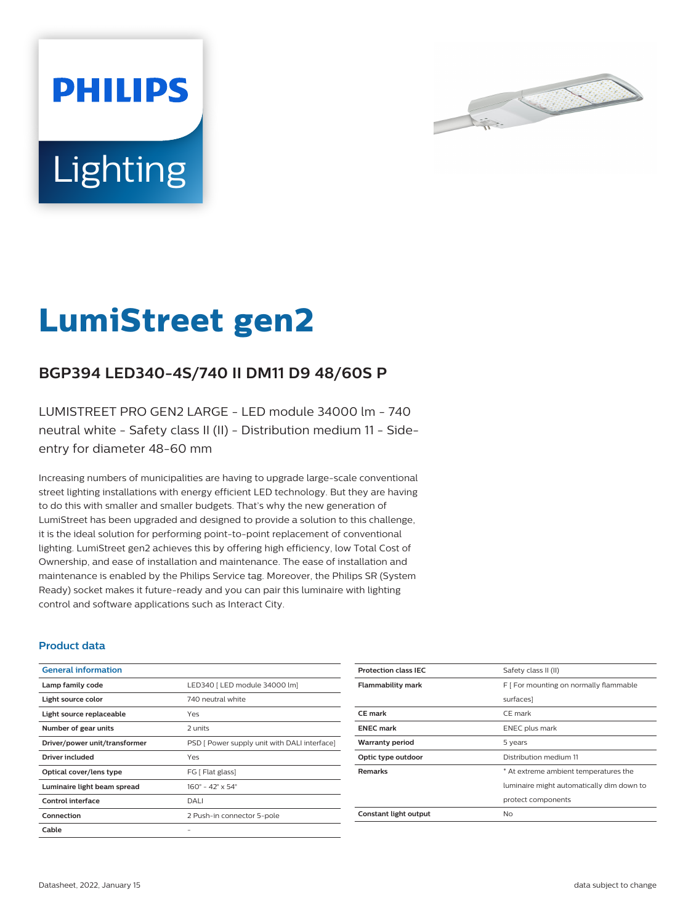



# **LumiStreet gen2**

## **BGP394 LED340-4S/740 II DM11 D9 48/60S P**

LUMISTREET PRO GEN2 LARGE - LED module 34000 lm - 740 neutral white - Safety class II (II) - Distribution medium 11 - Sideentry for diameter 48-60 mm

Increasing numbers of municipalities are having to upgrade large-scale conventional street lighting installations with energy efficient LED technology. But they are having to do this with smaller and smaller budgets. That's why the new generation of LumiStreet has been upgraded and designed to provide a solution to this challenge, it is the ideal solution for performing point-to-point replacement of conventional lighting. LumiStreet gen2 achieves this by offering high efficiency, low Total Cost of Ownership, and ease of installation and maintenance. The ease of installation and maintenance is enabled by the Philips Service tag. Moreover, the Philips SR (System Ready) socket makes it future-ready and you can pair this luminaire with lighting control and software applications such as Interact City.

#### **Product data**

| <b>General information</b>    |                                              |
|-------------------------------|----------------------------------------------|
| Lamp family code              | LED340   LED module 34000 lm]                |
| Light source color            | 740 neutral white                            |
| Light source replaceable      | Yes                                          |
| Number of gear units          | 2 units                                      |
| Driver/power unit/transformer | PSD [ Power supply unit with DALI interface] |
| Driver included               | Yes                                          |
| Optical cover/lens type       | FG [ Flat glass]                             |
| Luminaire light beam spread   | $160^{\circ} - 42^{\circ} \times 54^{\circ}$ |
| Control interface             | DALI                                         |
| Connection                    | 2 Push-in connector 5-pole                   |
| Cable                         |                                              |

| Safety class II (II)                      |
|-------------------------------------------|
| F [ For mounting on normally flammable    |
| surfaces]                                 |
| CE mark                                   |
| <b>ENEC</b> plus mark                     |
| 5 years                                   |
| Distribution medium 11                    |
| * At extreme ambient temperatures the     |
| luminaire might automatically dim down to |
| protect components                        |
| No                                        |
|                                           |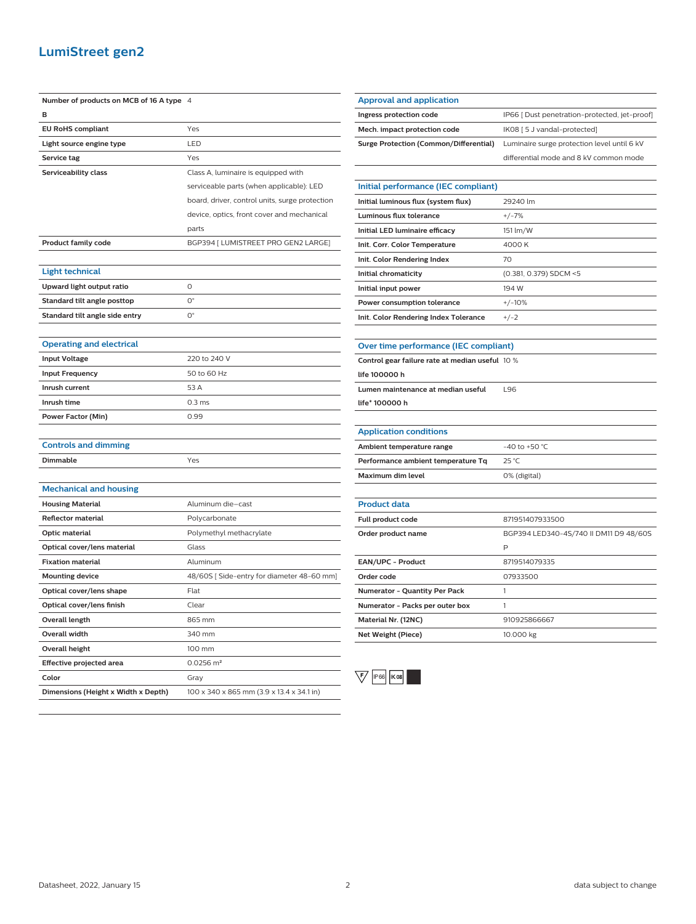### **LumiStreet gen2**

| Number of products on MCB of 16 A type 4 |                                                |
|------------------------------------------|------------------------------------------------|
| в                                        |                                                |
| <b>EU RoHS compliant</b>                 | Yes                                            |
| Light source engine type                 | LED                                            |
| Service tag                              | Yes                                            |
| Serviceability class                     | Class A, luminaire is equipped with            |
|                                          | serviceable parts (when applicable): LED       |
|                                          | board, driver, control units, surge protection |
|                                          | device, optics, front cover and mechanical     |
|                                          | parts                                          |
| <b>Product family code</b>               | BGP394 [ LUMISTREET PRO GEN2 LARGE]            |
|                                          |                                                |
| <b>Light technical</b>                   |                                                |
| Upward light output ratio                | O                                              |
| Standard tilt angle posttop              | $O^{\circ}$                                    |
| Standard tilt angle side entry           | 0°                                             |
|                                          |                                                |
| <b>Operating and electrical</b>          |                                                |
| <b>Input Voltage</b>                     | 220 to 240 V                                   |
| <b>Input Frequency</b>                   | 50 to 60 Hz                                    |
| Inrush current                           | 53 A                                           |
| Inrush time                              | 0.3 <sub>ms</sub>                              |
| <b>Power Factor (Min)</b>                | 0.99                                           |
|                                          |                                                |
| <b>Controls and dimming</b>              |                                                |
| Dimmable                                 | Yes                                            |
|                                          |                                                |
| <b>Mechanical and housing</b>            |                                                |
| <b>Housing Material</b>                  | Aluminum die-cast                              |
| <b>Reflector material</b>                | Polycarbonate                                  |
| Optic material                           | Polymethyl methacrylate                        |
| Optical cover/lens material              | Glass                                          |
| <b>Fixation material</b>                 | Aluminum                                       |
| <b>Mounting device</b>                   | 48/60S [Side-entry for diameter 48-60 mm]      |
| Optical cover/lens shape                 | Flat                                           |
| Optical cover/lens finish                | Clear                                          |
| <b>Overall length</b>                    | 865 mm                                         |
| <b>Overall width</b>                     | 340 mm                                         |
| <b>Overall height</b>                    | 100 mm                                         |
| Effective projected area                 | $0.0256$ m <sup>2</sup>                        |
| Color                                    | Gray                                           |
| Dimensions (Height x Width x Depth)      | 100 x 340 x 865 mm (3.9 x 13.4 x 34.1 in)      |

| <b>Approval and application</b>        |                                               |
|----------------------------------------|-----------------------------------------------|
| Ingress protection code                | IP66 [ Dust penetration-protected, jet-proof] |
| Mech. impact protection code           | IK08 [ 5 J vandal-protected]                  |
| Surge Protection (Common/Differential) | Luminaire surge protection level until 6 kV   |
|                                        | differential mode and 8 kV common mode        |
|                                        |                                               |
| Initial performance (IEC compliant)    |                                               |
| Initial luminous flux (system flux)    | 29240 lm                                      |
| .                                      | $\cdots$                                      |

| Luminous flux tolerance               | $+/-7%$                |
|---------------------------------------|------------------------|
| Initial LED luminaire efficacy        | 151 lm/W               |
| Init. Corr. Color Temperature         | 4000 K                 |
| Init. Color Rendering Index           | 70                     |
| Initial chromaticity                  | (0.381, 0.379) SDCM <5 |
| Initial input power                   | 194 W                  |
| Power consumption tolerance           | $+/-10%$               |
| Init. Color Rendering Index Tolerance | $+/-2$                 |

| Over time performance (IEC compliant) |  |
|---------------------------------------|--|

| Control gear failure rate at median useful 10 % |     |
|-------------------------------------------------|-----|
| life 100000 h                                   |     |
| Lumen maintenance at median useful              | 196 |
| $l$ ife* 100000 h                               |     |
|                                                 |     |

| <b>Application conditions</b>      |                    |
|------------------------------------|--------------------|
| Ambient temperature range          | $-40$ to $+50$ °C. |
| Performance ambient temperature Tq | 25 °C              |
| Maximum dim level                  | 0% (digital)       |

| <b>Product data</b>                  |                                        |
|--------------------------------------|----------------------------------------|
| Full product code                    | 871951407933500                        |
| Order product name                   | BGP394 LED340-4S/740 II DM11 D9 48/60S |
|                                      | P                                      |
| <b>EAN/UPC - Product</b>             | 8719514079335                          |
| Order code                           | 07933500                               |
| <b>Numerator - Quantity Per Pack</b> |                                        |
| Numerator - Packs per outer box      |                                        |
| Material Nr. (12NC)                  | 910925866667                           |
| Net Weight (Piece)                   | 10.000 kg                              |